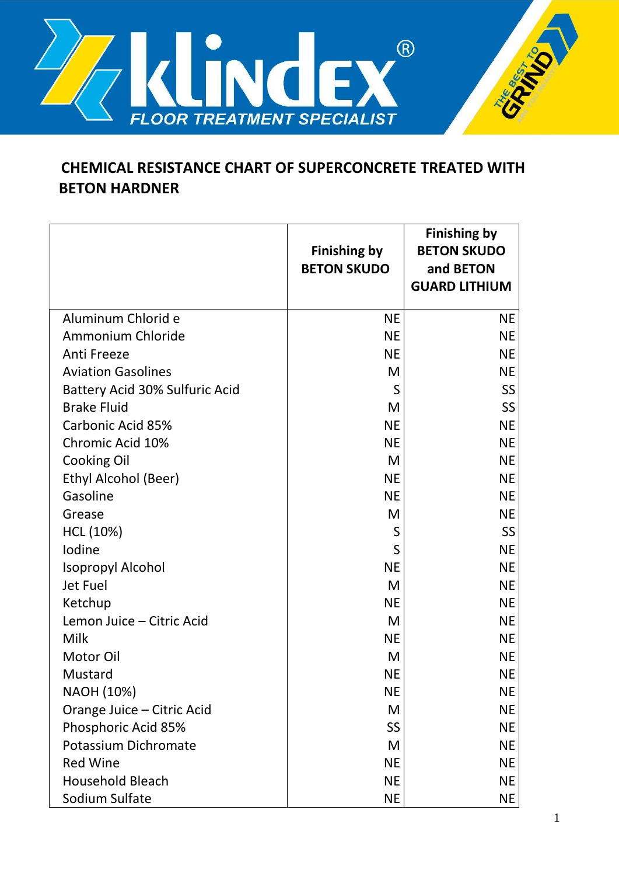

## **CHEMICAL RESISTANCE CHART OF SUPERCONCRETE TREATED WITH BETON HARDNER**

|                                | <b>Finishing by</b><br><b>BETON SKUDO</b> | <b>Finishing by</b><br><b>BETON SKUDO</b><br>and BETON<br><b>GUARD LITHIUM</b> |
|--------------------------------|-------------------------------------------|--------------------------------------------------------------------------------|
| Aluminum Chlorid e             | <b>NE</b>                                 | NE.                                                                            |
| Ammonium Chloride              | <b>NE</b>                                 | <b>NE</b>                                                                      |
| Anti Freeze                    | <b>NE</b>                                 | <b>NE</b>                                                                      |
| <b>Aviation Gasolines</b>      | M                                         | <b>NE</b>                                                                      |
| Battery Acid 30% Sulfuric Acid | S                                         | <b>SS</b>                                                                      |
| <b>Brake Fluid</b>             | M                                         | <b>SS</b>                                                                      |
| Carbonic Acid 85%              | <b>NE</b>                                 | <b>NE</b>                                                                      |
| Chromic Acid 10%               | <b>NE</b>                                 | <b>NE</b>                                                                      |
| <b>Cooking Oil</b>             | M                                         | <b>NE</b>                                                                      |
| Ethyl Alcohol (Beer)           | <b>NE</b>                                 | <b>NE</b>                                                                      |
| Gasoline                       | <b>NE</b>                                 | <b>NE</b>                                                                      |
| Grease                         | M                                         | <b>NE</b>                                                                      |
| HCL (10%)                      | S                                         | <b>SS</b>                                                                      |
| Iodine                         | S                                         | <b>NE</b>                                                                      |
| <b>Isopropyl Alcohol</b>       | <b>NE</b>                                 | <b>NE</b>                                                                      |
| Jet Fuel                       | M                                         | <b>NE</b>                                                                      |
| Ketchup                        | <b>NE</b>                                 | <b>NE</b>                                                                      |
| Lemon Juice - Citric Acid      | M                                         | <b>NE</b>                                                                      |
| Milk                           | <b>NE</b>                                 | <b>NE</b>                                                                      |
| <b>Motor Oil</b>               | M                                         | <b>NE</b>                                                                      |
| Mustard                        | <b>NE</b>                                 | <b>NE</b>                                                                      |
| NAOH (10%)                     | <b>NE</b>                                 | NE                                                                             |
| Orange Juice - Citric Acid     | M                                         | <b>NE</b>                                                                      |
| Phosphoric Acid 85%            | SS                                        | <b>NE</b>                                                                      |
| Potassium Dichromate           | M                                         | <b>NE</b>                                                                      |
| <b>Red Wine</b>                | <b>NE</b>                                 | <b>NE</b>                                                                      |
| <b>Household Bleach</b>        | <b>NE</b>                                 | <b>NE</b>                                                                      |
| Sodium Sulfate                 | <b>NE</b>                                 | <b>NE</b>                                                                      |